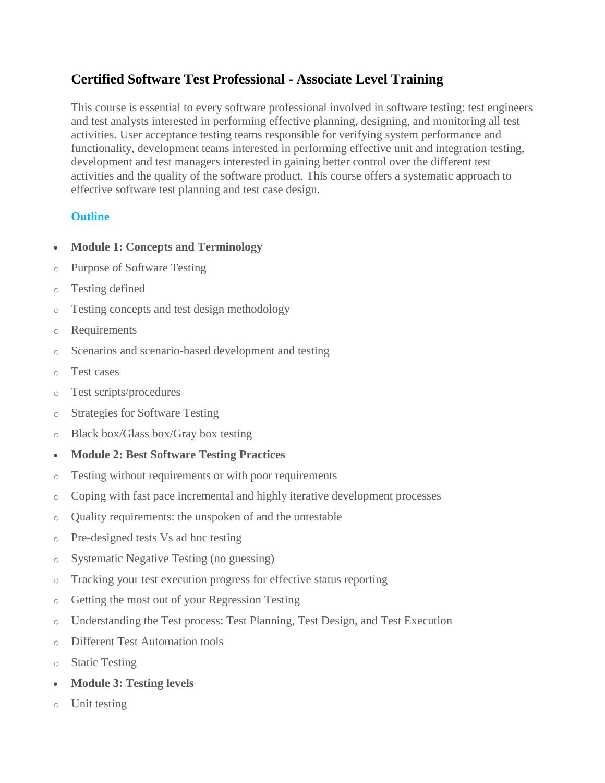## **Certified Software Test Professional - Associate Level Training**

This course is essential to every software professional involved in software testing: test engineers and test analysts interested in performing effective planning, designing, and monitoring all test activities. User acceptance testing teams responsible for verifying system performance and functionality, development teams interested in performing effective unit and integration testing, development and test managers interested in gaining better control over the different test activities and the quality of the software product. This course offers a systematic approach to effective software test planning and test case design.

## **Outline**

- **Module 1: Concepts and Terminology**
- o Purpose of Software Testing
- o Testing defined
- o Testing concepts and test design methodology
- o Requirements
- o Scenarios and scenario-based development and testing
- o Test cases
- o Test scripts/procedures
- o Strategies for Software Testing
- o Black box/Glass box/Gray box testing
- **Module 2: Best Software Testing Practices**
- o Testing without requirements or with poor requirements
- o Coping with fast pace incremental and highly iterative development processes
- o Quality requirements: the unspoken of and the untestable
- o Pre-designed tests Vs ad hoc testing
- o Systematic Negative Testing (no guessing)
- o Tracking your test execution progress for effective status reporting
- o Getting the most out of your Regression Testing
- o Understanding the Test process: Test Planning, Test Design, and Test Execution
- o Different Test Automation tools
- o Static Testing
- **Module 3: Testing levels**
- o Unit testing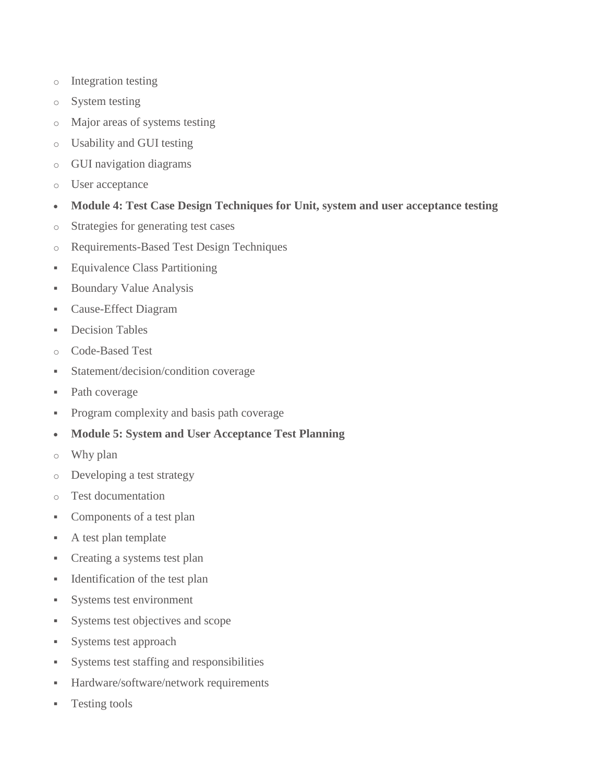- o Integration testing
- o System testing
- o Major areas of systems testing
- o Usability and GUI testing
- o GUI navigation diagrams
- o User acceptance
- **Module 4: Test Case Design Techniques for Unit, system and user acceptance testing**
- o Strategies for generating test cases
- o Requirements-Based Test Design Techniques
- **Equivalence Class Partitioning**
- **Boundary Value Analysis**
- Cause-Effect Diagram
- **-** Decision Tables
- o Code-Based Test
- Statement/decision/condition coverage
- Path coverage
- Program complexity and basis path coverage
- **Module 5: System and User Acceptance Test Planning**
- o Why plan
- o Developing a test strategy
- o Test documentation
- Components of a test plan
- A test plan template
- Creating a systems test plan
- Identification of the test plan
- Systems test environment
- Systems test objectives and scope
- Systems test approach
- Systems test staffing and responsibilities
- Hardware/software/network requirements
- **Testing tools**